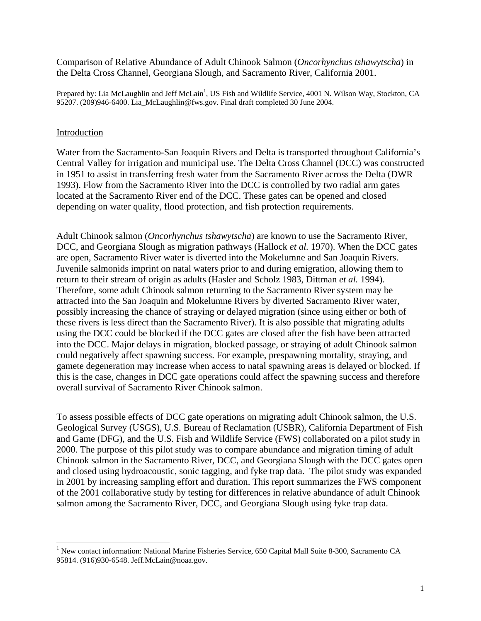Comparison of Relative Abundance of Adult Chinook Salmon (*Oncorhynchus tshawytscha*) in the Delta Cross Channel, Georgiana Slough, and Sacramento River, California 2001.

Prepared by: Lia McLaughlin and Jeff McLain<sup>1</sup>[,](#page-0-0) US Fish and Wildlife Service, 4001 N. Wilson Way, Stockton, CA 95207. (209)946-6400. [Lia\\_McLaughlin@fws.gov.](mailto:Lia_McLaughlin@fws.gov) Final draft completed 30 June 2004.

### Introduction

 $\overline{a}$ 

Water from the Sacramento-San Joaquin Rivers and Delta is transported throughout California's Central Valley for irrigation and municipal use. The Delta Cross Channel (DCC) was constructed in 1951 to assist in transferring fresh water from the Sacramento River across the Delta (DWR 1993). Flow from the Sacramento River into the DCC is controlled by two radial arm gates located at the Sacramento River end of the DCC. These gates can be opened and closed depending on water quality, flood protection, and fish protection requirements.

Adult Chinook salmon (*Oncorhynchus tshawytscha*) are known to use the Sacramento River, DCC, and Georgiana Slough as migration pathways (Hallock *et al.* 1970). When the DCC gates are open, Sacramento River water is diverted into the Mokelumne and San Joaquin Rivers. Juvenile salmonids imprint on natal waters prior to and during emigration, allowing them to return to their stream of origin as adults (Hasler and Scholz 1983, Dittman *et al.* 1994). Therefore, some adult Chinook salmon returning to the Sacramento River system may be attracted into the San Joaquin and Mokelumne Rivers by diverted Sacramento River water, possibly increasing the chance of straying or delayed migration (since using either or both of these rivers is less direct than the Sacramento River). It is also possible that migrating adults using the DCC could be blocked if the DCC gates are closed after the fish have been attracted into the DCC. Major delays in migration, blocked passage, or straying of adult Chinook salmon could negatively affect spawning success. For example, prespawning mortality, straying, and gamete degeneration may increase when access to natal spawning areas is delayed or blocked. If this is the case, changes in DCC gate operations could affect the spawning success and therefore overall survival of Sacramento River Chinook salmon.

To assess possible effects of DCC gate operations on migrating adult Chinook salmon, the U.S. Geological Survey (USGS), U.S. Bureau of Reclamation (USBR), California Department of Fish and Game (DFG), and the U.S. Fish and Wildlife Service (FWS) collaborated on a pilot study in 2000. The purpose of this pilot study was to compare abundance and migration timing of adult Chinook salmon in the Sacramento River, DCC, and Georgiana Slough with the DCC gates open and closed using hydroacoustic, sonic tagging, and fyke trap data. The pilot study was expanded in 2001 by increasing sampling effort and duration. This report summarizes the FWS component of the 2001 collaborative study by testing for differences in relative abundance of adult Chinook salmon among the Sacramento River, DCC, and Georgiana Slough using fyke trap data.

<span id="page-0-0"></span><sup>&</sup>lt;sup>1</sup> New contact information: National Marine Fisheries Service, 650 Capital Mall Suite 8-300, Sacramento CA 95814. (916)930-6548. [Jeff.McLain@noaa.gov.](mailto:Jeff.McLain@noaa.gov)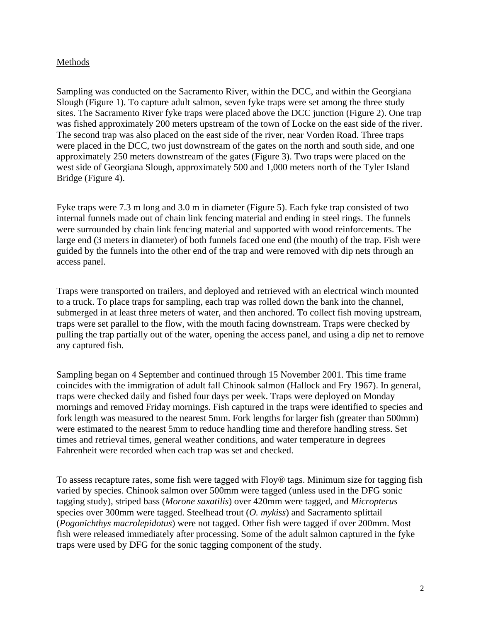# Methods

Sampling was conducted on the Sacramento River, within the DCC, and within the Georgiana Slough (Figure 1). To capture adult salmon, seven fyke traps were set among the three study sites. The Sacramento River fyke traps were placed above the DCC junction (Figure 2). One trap was fished approximately 200 meters upstream of the town of Locke on the east side of the river. The second trap was also placed on the east side of the river, near Vorden Road. Three traps were placed in the DCC, two just downstream of the gates on the north and south side, and one approximately 250 meters downstream of the gates (Figure 3). Two traps were placed on the west side of Georgiana Slough, approximately 500 and 1,000 meters north of the Tyler Island Bridge (Figure 4).

Fyke traps were 7.3 m long and 3.0 m in diameter (Figure 5). Each fyke trap consisted of two internal funnels made out of chain link fencing material and ending in steel rings. The funnels were surrounded by chain link fencing material and supported with wood reinforcements. The large end (3 meters in diameter) of both funnels faced one end (the mouth) of the trap. Fish were guided by the funnels into the other end of the trap and were removed with dip nets through an access panel.

Traps were transported on trailers, and deployed and retrieved with an electrical winch mounted to a truck. To place traps for sampling, each trap was rolled down the bank into the channel, submerged in at least three meters of water, and then anchored. To collect fish moving upstream, traps were set parallel to the flow, with the mouth facing downstream. Traps were checked by pulling the trap partially out of the water, opening the access panel, and using a dip net to remove any captured fish.

Sampling began on 4 September and continued through 15 November 2001. This time frame coincides with the immigration of adult fall Chinook salmon (Hallock and Fry 1967). In general, traps were checked daily and fished four days per week. Traps were deployed on Monday mornings and removed Friday mornings. Fish captured in the traps were identified to species and fork length was measured to the nearest 5mm. Fork lengths for larger fish (greater than 500mm) were estimated to the nearest 5mm to reduce handling time and therefore handling stress. Set times and retrieval times, general weather conditions, and water temperature in degrees Fahrenheit were recorded when each trap was set and checked.

To assess recapture rates, some fish were tagged with Floy® tags. Minimum size for tagging fish varied by species. Chinook salmon over 500mm were tagged (unless used in the DFG sonic tagging study), striped bass (*Morone saxatilis*) over 420mm were tagged, and *Micropterus* species over 300mm were tagged. Steelhead trout (*O. mykiss*) and Sacramento splittail (*Pogonichthys macrolepidotus*) were not tagged. Other fish were tagged if over 200mm. Most fish were released immediately after processing. Some of the adult salmon captured in the fyke traps were used by DFG for the sonic tagging component of the study.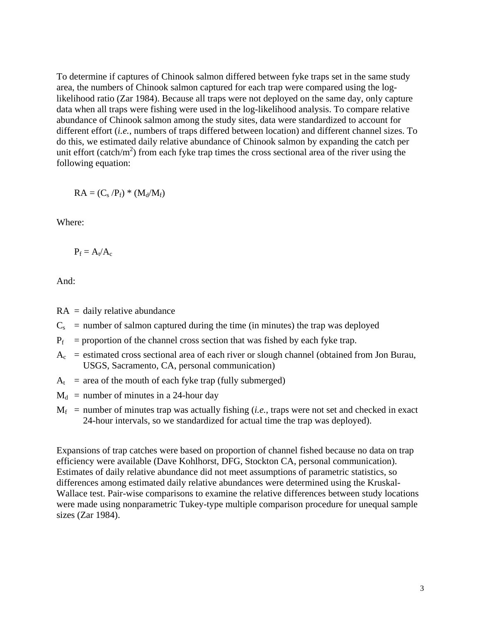To determine if captures of Chinook salmon differed between fyke traps set in the same study area, the numbers of Chinook salmon captured for each trap were compared using the loglikelihood ratio (Zar 1984). Because all traps were not deployed on the same day, only capture data when all traps were fishing were used in the log-likelihood analysis. To compare relative abundance of Chinook salmon among the study sites, data were standardized to account for different effort (*i.e.*, numbers of traps differed between location) and different channel sizes. To do this, we estimated daily relative abundance of Chinook salmon by expanding the catch per unit effort (catch/ $m<sup>2</sup>$ ) from each fyke trap times the cross sectional area of the river using the following equation:

 $RA = (C_s/P_f) * (M_d/M_f)$ 

Where:

 $P_f = A_t/A_c$ 

And:

- $RA =$  daily relative abundance
- $C_s$  = number of salmon captured during the time (in minutes) the trap was deployed
- $P_f$  = proportion of the channel cross section that was fished by each fyke trap.
- $A_c$  = estimated cross sectional area of each river or slough channel (obtained from Jon Burau, USGS, Sacramento, CA, personal communication)
- $A_t$  = area of the mouth of each fyke trap (fully submerged)
- $M_d$  = number of minutes in a 24-hour day
- $M_f$  = number of minutes trap was actually fishing *(i.e.*, traps were not set and checked in exact 24-hour intervals, so we standardized for actual time the trap was deployed).

Expansions of trap catches were based on proportion of channel fished because no data on trap efficiency were available (Dave Kohlhorst, DFG, Stockton CA, personal communication). Estimates of daily relative abundance did not meet assumptions of parametric statistics, so differences among estimated daily relative abundances were determined using the Kruskal-Wallace test. Pair-wise comparisons to examine the relative differences between study locations were made using nonparametric Tukey-type multiple comparison procedure for unequal sample sizes (Zar 1984).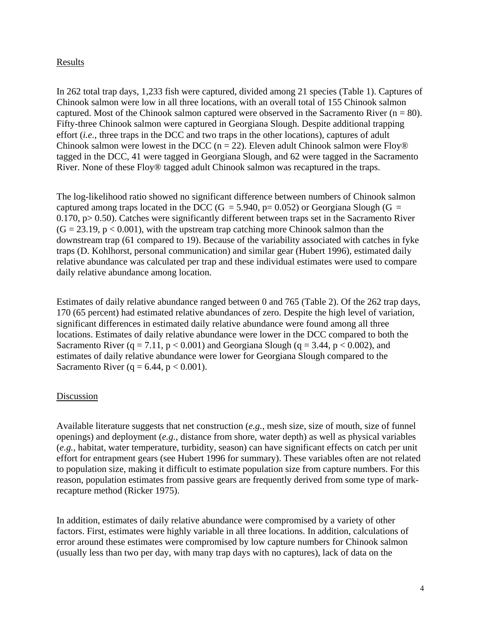# Results

In 262 total trap days, 1,233 fish were captured, divided among 21 species (Table 1). Captures of Chinook salmon were low in all three locations, with an overall total of 155 Chinook salmon captured. Most of the Chinook salmon captured were observed in the Sacramento River ( $n = 80$ ). Fifty-three Chinook salmon were captured in Georgiana Slough. Despite additional trapping effort (*i.e.*, three traps in the DCC and two traps in the other locations), captures of adult Chinook salmon were lowest in the DCC ( $n = 22$ ). Eleven adult Chinook salmon were Floy® tagged in the DCC, 41 were tagged in Georgiana Slough, and 62 were tagged in the Sacramento River. None of these Floy® tagged adult Chinook salmon was recaptured in the traps.

The log-likelihood ratio showed no significant difference between numbers of Chinook salmon captured among traps located in the DCC (G = 5.940, p= 0.052) or Georgiana Slough (G = 0.170,  $p > 0.50$ ). Catches were significantly different between traps set in the Sacramento River  $(G = 23.19, p < 0.001)$ , with the upstream trap catching more Chinook salmon than the downstream trap (61 compared to 19). Because of the variability associated with catches in fyke traps (D. Kohlhorst, personal communication) and similar gear (Hubert 1996), estimated daily relative abundance was calculated per trap and these individual estimates were used to compare daily relative abundance among location.

Estimates of daily relative abundance ranged between 0 and 765 (Table 2). Of the 262 trap days, 170 (65 percent) had estimated relative abundances of zero. Despite the high level of variation, significant differences in estimated daily relative abundance were found among all three locations. Estimates of daily relative abundance were lower in the DCC compared to both the Sacramento River  $(q = 7.11, p < 0.001)$  and Georgiana Slough  $(q = 3.44, p < 0.002)$ , and estimates of daily relative abundance were lower for Georgiana Slough compared to the Sacramento River (q = 6.44, p < 0.001).

### Discussion

Available literature suggests that net construction (*e.g.*, mesh size, size of mouth, size of funnel openings) and deployment (*e.g.*, distance from shore, water depth) as well as physical variables (*e.g.*, habitat, water temperature, turbidity, season) can have significant effects on catch per unit effort for entrapment gears (see Hubert 1996 for summary). These variables often are not related to population size, making it difficult to estimate population size from capture numbers. For this reason, population estimates from passive gears are frequently derived from some type of markrecapture method (Ricker 1975).

In addition, estimates of daily relative abundance were compromised by a variety of other factors. First, estimates were highly variable in all three locations. In addition, calculations of error around these estimates were compromised by low capture numbers for Chinook salmon (usually less than two per day, with many trap days with no captures), lack of data on the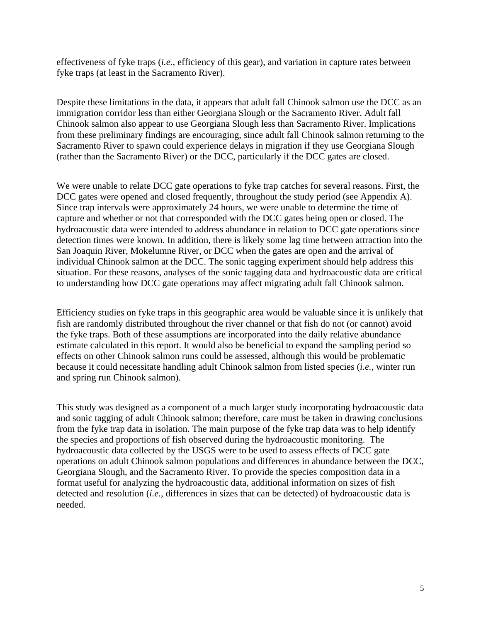effectiveness of fyke traps (*i.e.*, efficiency of this gear), and variation in capture rates between fyke traps (at least in the Sacramento River).

Despite these limitations in the data, it appears that adult fall Chinook salmon use the DCC as an immigration corridor less than either Georgiana Slough or the Sacramento River. Adult fall Chinook salmon also appear to use Georgiana Slough less than Sacramento River. Implications from these preliminary findings are encouraging, since adult fall Chinook salmon returning to the Sacramento River to spawn could experience delays in migration if they use Georgiana Slough (rather than the Sacramento River) or the DCC, particularly if the DCC gates are closed.

We were unable to relate DCC gate operations to fyke trap catches for several reasons. First, the DCC gates were opened and closed frequently, throughout the study period (see Appendix A). Since trap intervals were approximately 24 hours, we were unable to determine the time of capture and whether or not that corresponded with the DCC gates being open or closed. The hydroacoustic data were intended to address abundance in relation to DCC gate operations since detection times were known. In addition, there is likely some lag time between attraction into the San Joaquin River, Mokelumne River, or DCC when the gates are open and the arrival of individual Chinook salmon at the DCC. The sonic tagging experiment should help address this situation. For these reasons, analyses of the sonic tagging data and hydroacoustic data are critical to understanding how DCC gate operations may affect migrating adult fall Chinook salmon.

Efficiency studies on fyke traps in this geographic area would be valuable since it is unlikely that fish are randomly distributed throughout the river channel or that fish do not (or cannot) avoid the fyke traps. Both of these assumptions are incorporated into the daily relative abundance estimate calculated in this report. It would also be beneficial to expand the sampling period so effects on other Chinook salmon runs could be assessed, although this would be problematic because it could necessitate handling adult Chinook salmon from listed species (*i.e.*, winter run and spring run Chinook salmon).

This study was designed as a component of a much larger study incorporating hydroacoustic data and sonic tagging of adult Chinook salmon; therefore, care must be taken in drawing conclusions from the fyke trap data in isolation. The main purpose of the fyke trap data was to help identify the species and proportions of fish observed during the hydroacoustic monitoring. The hydroacoustic data collected by the USGS were to be used to assess effects of DCC gate operations on adult Chinook salmon populations and differences in abundance between the DCC, Georgiana Slough, and the Sacramento River. To provide the species composition data in a format useful for analyzing the hydroacoustic data, additional information on sizes of fish detected and resolution (*i.e.*, differences in sizes that can be detected) of hydroacoustic data is needed.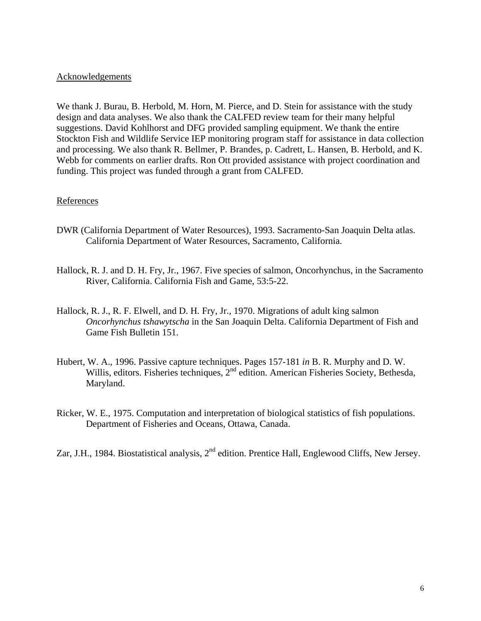#### **Acknowledgements**

We thank J. Burau, B. Herbold, M. Horn, M. Pierce, and D. Stein for assistance with the study design and data analyses. We also thank the CALFED review team for their many helpful suggestions. David Kohlhorst and DFG provided sampling equipment. We thank the entire Stockton Fish and Wildlife Service IEP monitoring program staff for assistance in data collection and processing. We also thank R. Bellmer, P. Brandes, p. Cadrett, L. Hansen, B. Herbold, and K. Webb for comments on earlier drafts. Ron Ott provided assistance with project coordination and funding. This project was funded through a grant from CALFED.

### References

- DWR (California Department of Water Resources), 1993. Sacramento-San Joaquin Delta atlas. California Department of Water Resources, Sacramento, California.
- Hallock, R. J. and D. H. Fry, Jr., 1967. Five species of salmon, Oncorhynchus, in the Sacramento River, California. California Fish and Game, 53:5-22.
- Hallock, R. J., R. F. Elwell, and D. H. Fry, Jr., 1970. Migrations of adult king salmon *Oncorhynchus tshawytscha* in the San Joaquin Delta. California Department of Fish and Game Fish Bulletin 151.
- Hubert, W. A., 1996. Passive capture techniques. Pages 157-181 *in* B. R. Murphy and D. W. Willis, editors. Fisheries techniques, 2<sup>nd</sup> edition. American Fisheries Society, Bethesda, Maryland.
- Ricker, W. E., 1975. Computation and interpretation of biological statistics of fish populations. Department of Fisheries and Oceans, Ottawa, Canada.
- Zar, J.H., 1984. Biostatistical analysis, 2<sup>nd</sup> edition. Prentice Hall, Englewood Cliffs, New Jersey.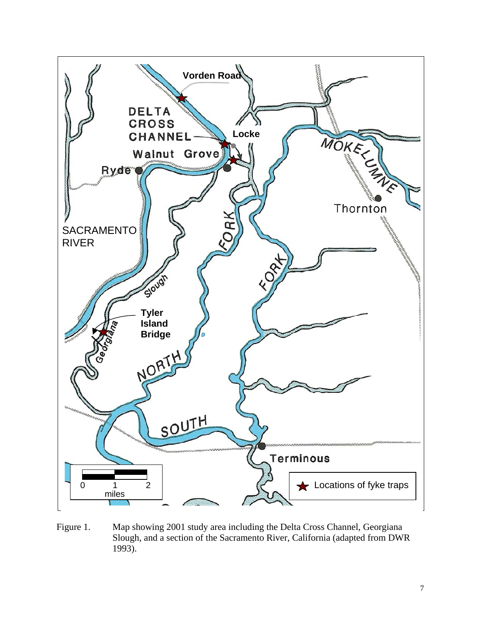

Figure 1. Map showing 2001 study area including the Delta Cross Channel, Georgiana Slough, and a section of the Sacramento River, California (adapted from DWR 1993).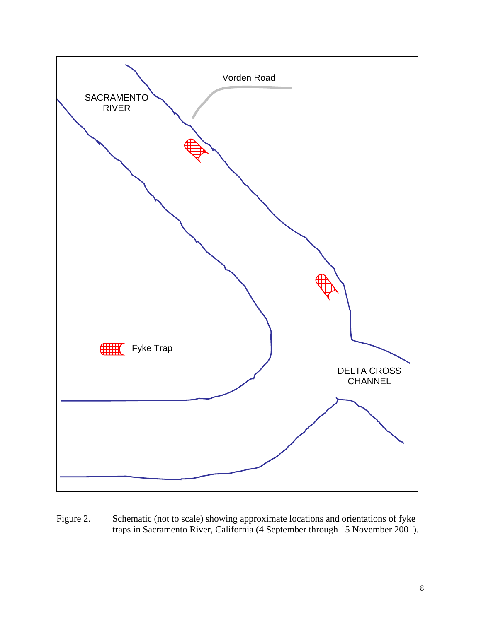

Figure 2. Schematic (not to scale) showing approximate locations and orientations of fyke traps in Sacramento River, California (4 September through 15 November 2001).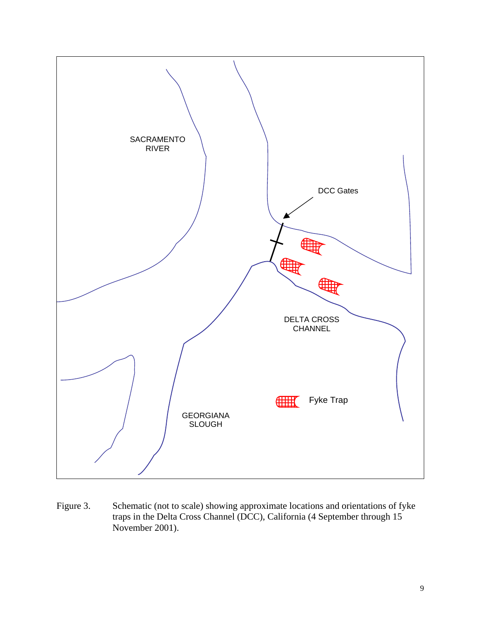

Figure 3. Schematic (not to scale) showing approximate locations and orientations of fyke traps in the Delta Cross Channel (DCC), California (4 September through 15 November 2001).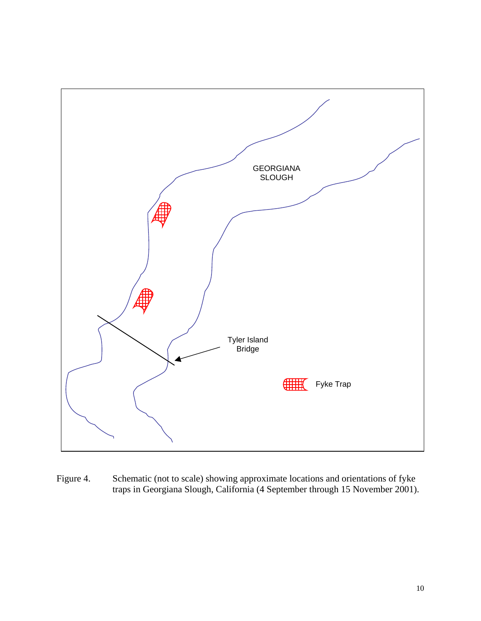

Figure 4. Schematic (not to scale) showing approximate locations and orientations of fyke traps in Georgiana Slough, California (4 September through 15 November 2001).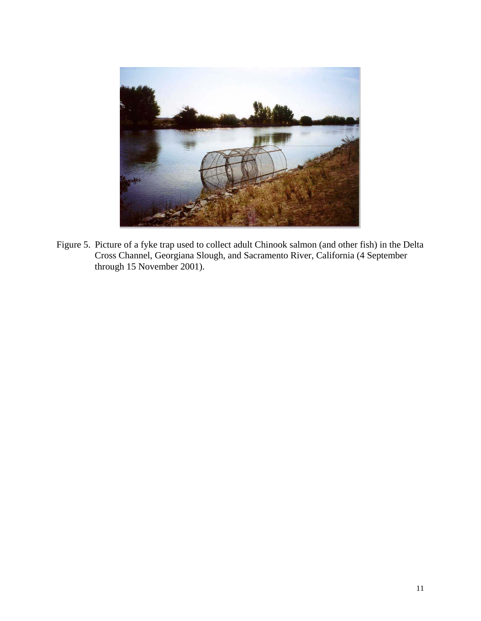

Figure 5. Picture of a fyke trap used to collect adult Chinook salmon (and other fish) in the Delta Cross Channel, Georgiana Slough, and Sacramento River, California (4 September through 15 November 2001).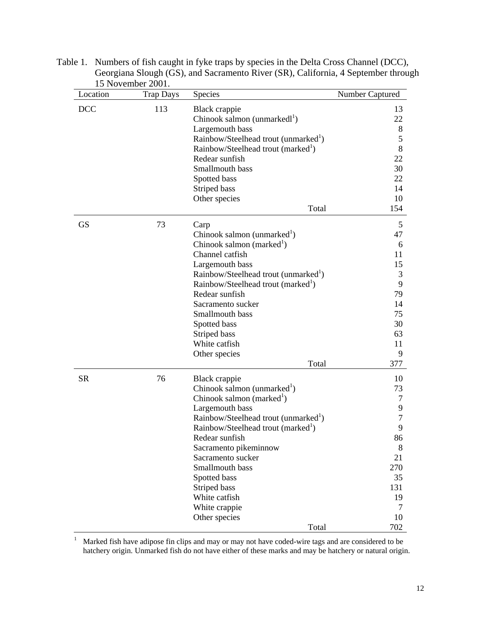| Location   | 1510100000001<br><b>Trap Days</b> | <b>Species</b>                                   | Number Captured |
|------------|-----------------------------------|--------------------------------------------------|-----------------|
| <b>DCC</b> | 113                               | Black crappie                                    | 13              |
|            |                                   | Chinook salmon (unmarkedl <sup>1</sup> )         | 22              |
|            |                                   | Largemouth bass                                  | 8               |
|            |                                   | Rainbow/Steelhead trout (unmarked <sup>1</sup> ) | 5               |
|            |                                   | Rainbow/Steelhead trout (marked <sup>1</sup> )   | 8               |
|            |                                   | Redear sunfish                                   | 22              |
|            |                                   | Smallmouth bass                                  | 30              |
|            |                                   | Spotted bass                                     | 22              |
|            |                                   | Striped bass                                     | 14              |
|            |                                   | Other species                                    | 10              |
|            |                                   | Total                                            | 154             |
| <b>GS</b>  | 73                                | Carp                                             | 5               |
|            |                                   | Chinook salmon (unmarked <sup>1</sup> )          | 47              |
|            |                                   | Chinook salmon (marked $\mathrm{d}$ )            | 6               |
|            |                                   | Channel catfish                                  | 11              |
|            |                                   | Largemouth bass                                  | 15              |
|            |                                   | Rainbow/Steelhead trout (unmarked <sup>1</sup> ) | 3               |
|            |                                   | Rainbow/Steelhead trout (marked <sup>1</sup> )   | 9               |
|            |                                   | Redear sunfish                                   | 79              |
|            |                                   | Sacramento sucker                                | 14              |
|            |                                   | Smallmouth bass                                  | 75              |
|            |                                   | Spotted bass                                     | 30              |
|            |                                   | Striped bass                                     | 63              |
|            |                                   | White catfish                                    | 11              |
|            |                                   | Other species                                    | 9               |
|            |                                   | Total                                            | 377             |
| <b>SR</b>  | 76                                | Black crappie                                    | 10              |
|            |                                   | Chinook salmon (unmarked <sup>1</sup> )          | 73              |
|            |                                   | Chinook salmon (marked <sup>1</sup> )            | 7               |
|            |                                   | Largemouth bass                                  | 9               |
|            |                                   | Rainbow/Steelhead trout (unmarked <sup>1</sup> ) | 7               |
|            |                                   | Rainbow/Steelhead trout (marked <sup>1</sup> )   | 9               |
|            |                                   | Redear sunfish                                   | 86              |
|            |                                   | Sacramento pikeminnow                            | 8               |
|            |                                   | Sacramento sucker                                | 21              |
|            |                                   | Smallmouth bass                                  | 270             |
|            |                                   | Spotted bass                                     | 35              |
|            |                                   | Striped bass                                     | 131             |
|            |                                   | White catfish                                    | 19              |
|            |                                   | White crappie                                    | 7               |
|            |                                   | Other species                                    | 10              |
|            |                                   | Total                                            | 702             |

Table 1. Numbers of fish caught in fyke traps by species in the Delta Cross Channel (DCC), Georgiana Slough (GS), and Sacramento River (SR), California, 4 September through 15 November 2001.

1 Marked fish have adipose fin clips and may or may not have coded-wire tags and are considered to be hatchery origin. Unmarked fish do not have either of these marks and may be hatchery or natural origin.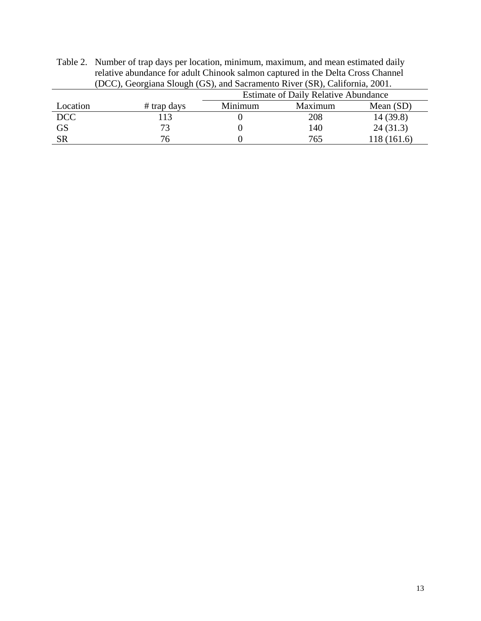| relative abundance for adult Chinook salmon captured in the Delta Cross Channel |               |                                             |         |             |  |  |  |
|---------------------------------------------------------------------------------|---------------|---------------------------------------------|---------|-------------|--|--|--|
| (DCC), Georgiana Slough (GS), and Sacramento River (SR), California, 2001.      |               |                                             |         |             |  |  |  |
|                                                                                 |               | <b>Estimate of Daily Relative Abundance</b> |         |             |  |  |  |
| Location                                                                        | $#$ trap days | Minimum                                     | Maximum | Mean $(SD)$ |  |  |  |
| <b>DCC</b>                                                                      | 113           |                                             | 208     | 14(39.8)    |  |  |  |
| <b>GS</b>                                                                       | 73            |                                             | 140     | 24(31.3)    |  |  |  |
| <b>SR</b>                                                                       | 76            |                                             | 765     | 118 (161.6) |  |  |  |

Table 2. Number of trap days per location, minimum, maximum, and mean estimated daily relative abundance for adult Chinook salmon captured in the Delta Cross Channel